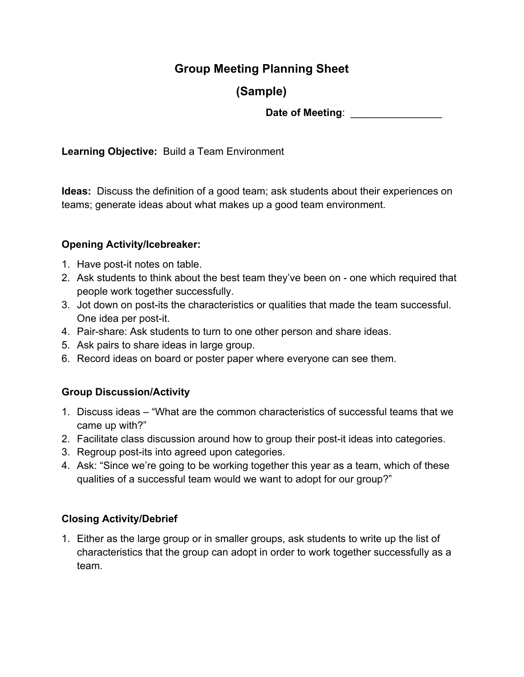## **Group Meeting Planning Sheet**

# **(Sample)**

**Date of Meeting**: \_\_\_\_\_\_\_\_\_\_\_\_\_\_\_\_

**Learning Objective:** Build a Team Environment

**Ideas:** Discuss the definition of a good team; ask students about their experiences on teams; generate ideas about what makes up a good team environment.

### **Opening Activity/Icebreaker:**

- 1. Have post-it notes on table.
- 2. Ask students to think about the best team they've been on one which required that people work together successfully.
- 3. Jot down on post-its the characteristics or qualities that made the team successful. One idea per post-it.
- 4. Pair-share: Ask students to turn to one other person and share ideas.
- 5. Ask pairs to share ideas in large group.
- 6. Record ideas on board or poster paper where everyone can see them.

### **Group Discussion/Activity**

- 1. Discuss ideas "What are the common characteristics of successful teams that we came up with?"
- 2. Facilitate class discussion around how to group their post-it ideas into categories.
- 3. Regroup post-its into agreed upon categories.
- 4. Ask: "Since we're going to be working together this year as a team, which of these qualities of a successful team would we want to adopt for our group?"

### **Closing Activity/Debrief**

1. Either as the large group or in smaller groups, ask students to write up the list of characteristics that the group can adopt in order to work together successfully as a team.